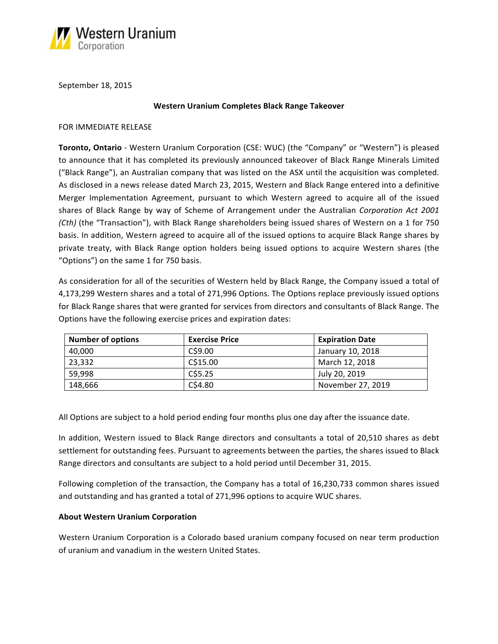

September 18, 2015

#### **Western Uranium Completes Black Range Takeover**

#### FOR IMMEDIATE RELEASE

**Toronto, Ontario** - Western Uranium Corporation (CSE: WUC) (the "Company" or "Western") is pleased to announce that it has completed its previously announced takeover of Black Range Minerals Limited ("Black Range"), an Australian company that was listed on the ASX until the acquisition was completed. As disclosed in a news release dated March 23, 2015, Western and Black Range entered into a definitive Merger Implementation Agreement, pursuant to which Western agreed to acquire all of the issued shares of Black Range by way of Scheme of Arrangement under the Australian *Corporation Act 2001 (Cth)* (the "Transaction"), with Black Range shareholders being issued shares of Western on a 1 for 750 basis. In addition, Western agreed to acquire all of the issued options to acquire Black Range shares by private treaty, with Black Range option holders being issued options to acquire Western shares (the "Options") on the same 1 for 750 basis.

As consideration for all of the securities of Western held by Black Range, the Company issued a total of 4,173,299 Western shares and a total of 271,996 Options. The Options replace previously issued options for Black Range shares that were granted for services from directors and consultants of Black Range. The Options have the following exercise prices and expiration dates:

| <b>Number of options</b> | <b>Exercise Price</b> | <b>Expiration Date</b> |
|--------------------------|-----------------------|------------------------|
| 40,000                   | C\$9.00               | January 10, 2018       |
| 23,332                   | C\$15.00              | March 12, 2018         |
| 59.998                   | C\$5.25               | July 20, 2019          |
| 148,666                  | C\$4.80               | November 27, 2019      |

All Options are subject to a hold period ending four months plus one day after the issuance date.

In addition, Western issued to Black Range directors and consultants a total of 20,510 shares as debt settlement for outstanding fees. Pursuant to agreements between the parties, the shares issued to Black Range directors and consultants are subject to a hold period until December 31, 2015.

Following completion of the transaction, the Company has a total of 16,230,733 common shares issued and outstanding and has granted a total of 271,996 options to acquire WUC shares.

## **About Western Uranium Corporation**

Western Uranium Corporation is a Colorado based uranium company focused on near term production of uranium and vanadium in the western United States.